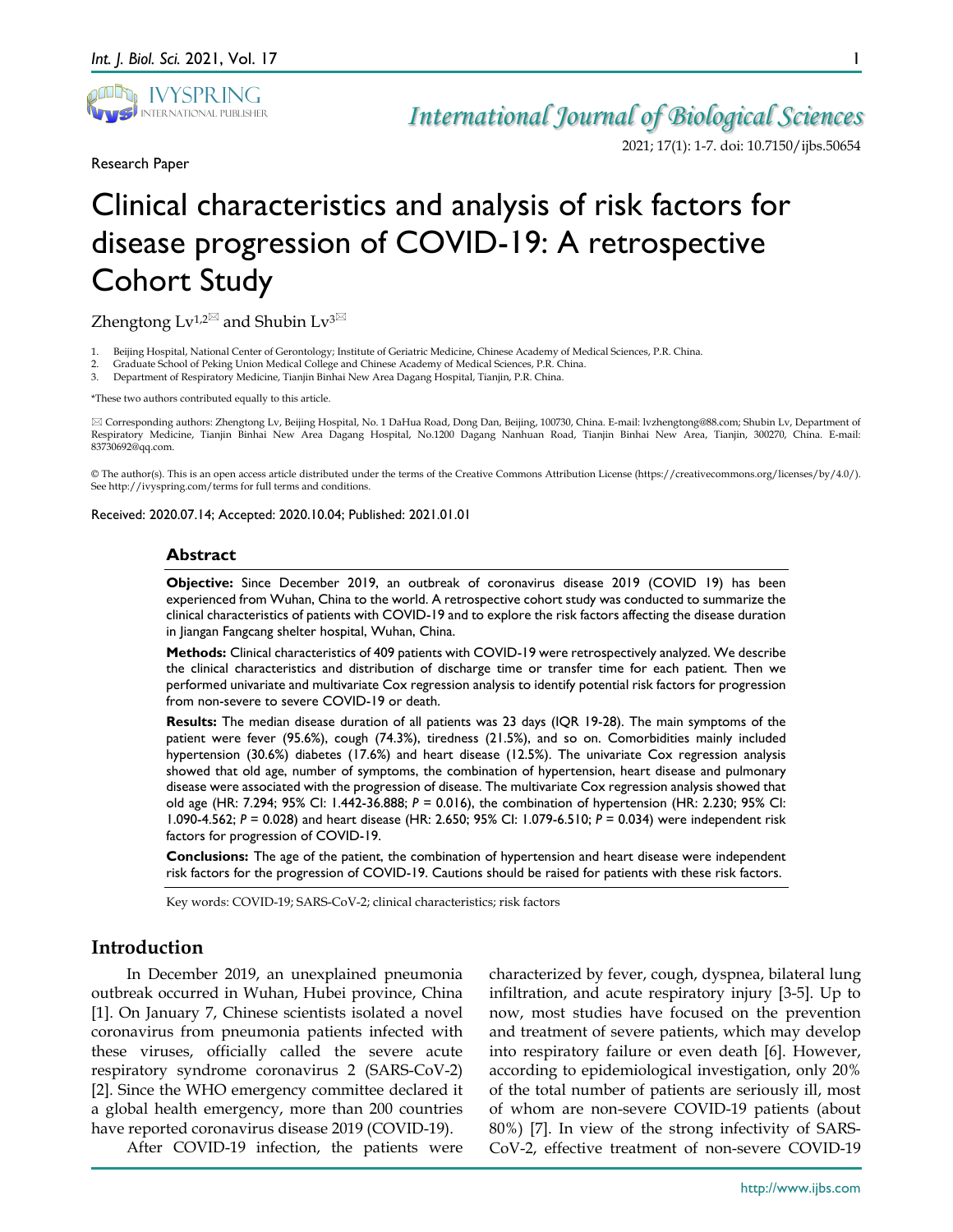

2021; 17(1): 1-7. doi: 10.7150/ijbs.50654

1

Research Paper

# Clinical characteristics and analysis of risk factors for disease progression of COVID-19: A retrospective Cohort Study

Zhengtong  $Lv^{1,2}$  and Shubin  $Lv^{3}$ 

- 1. Beijing Hospital, National Center of Gerontology; Institute of Geriatric Medicine, Chinese Academy of Medical Sciences, P.R. China.
- 2. Graduate School of Peking Union Medical College and Chinese Academy of Medical Sciences, P.R. China.<br>3. Department of Respiratory Medicine, Tianjin Binhai New Area Dagang Hospital, Tianjin, P.R. China.
- 3. Department of Respiratory Medicine, Tianjin Binhai New Area Dagang Hospital, Tianjin, P.R. China.

\*These two authors contributed equally to this article.

 Corresponding authors: Zhengtong Lv, Beijing Hospital, No. 1 DaHua Road, Dong Dan, Beijing, 100730, China. E-mail: lvzhengtong@88.com; Shubin Lv, Department of Respiratory Medicine, Tianjin Binhai New Area Dagang Hospital, No.1200 Dagang Nanhuan Road, Tianjin Binhai New Area, Tianjin, 300270, China. E-mail: 83730692@qq.com.

© The author(s). This is an open access article distributed under the terms of the Creative Commons Attribution License (https://creativecommons.org/licenses/by/4.0/). See http://ivyspring.com/terms for full terms and conditions.

Received: 2020.07.14; Accepted: 2020.10.04; Published: 2021.01.01

### **Abstract**

**Objective:** Since December 2019, an outbreak of coronavirus disease 2019 (COVID 19) has been experienced from Wuhan, China to the world. A retrospective cohort study was conducted to summarize the clinical characteristics of patients with COVID-19 and to explore the risk factors affecting the disease duration in Jiangan Fangcang shelter hospital, Wuhan, China.

**Methods:** Clinical characteristics of 409 patients with COVID-19 were retrospectively analyzed. We describe the clinical characteristics and distribution of discharge time or transfer time for each patient. Then we performed univariate and multivariate Cox regression analysis to identify potential risk factors for progression from non-severe to severe COVID-19 or death.

**Results:** The median disease duration of all patients was 23 days (IQR 19-28). The main symptoms of the patient were fever (95.6%), cough (74.3%), tiredness (21.5%), and so on. Comorbidities mainly included hypertension (30.6%) diabetes (17.6%) and heart disease (12.5%). The univariate Cox regression analysis showed that old age, number of symptoms, the combination of hypertension, heart disease and pulmonary disease were associated with the progression of disease. The multivariate Cox regression analysis showed that old age (HR: 7.294; 95% CI: 1.442-36.888; *P* = 0.016), the combination of hypertension (HR: 2.230; 95% CI: 1.090-4.562; *P* = 0.028) and heart disease (HR: 2.650; 95% CI: 1.079-6.510; *P* = 0.034) were independent risk factors for progression of COVID-19.

**Conclusions:** The age of the patient, the combination of hypertension and heart disease were independent risk factors for the progression of COVID-19. Cautions should be raised for patients with these risk factors.

Key words: COVID-19; SARS-CoV-2; clinical characteristics; risk factors

## **Introduction**

In December 2019, an unexplained pneumonia outbreak occurred in Wuhan, Hubei province, China [1]. On January 7, Chinese scientists isolated a novel coronavirus from pneumonia patients infected with these viruses, officially called the severe acute respiratory syndrome coronavirus 2 (SARS-CoV-2) [2]. Since the WHO emergency committee declared it a global health emergency, more than 200 countries have reported coronavirus disease 2019 (COVID-19).

After COVID-19 infection, the patients were

characterized by fever, cough, dyspnea, bilateral lung infiltration, and acute respiratory injury [3-5]. Up to now, most studies have focused on the prevention and treatment of severe patients, which may develop into respiratory failure or even death [6]. However, according to epidemiological investigation, only 20% of the total number of patients are seriously ill, most of whom are non-severe COVID-19 patients (about 80%) [7]. In view of the strong infectivity of SARS-CoV-2, effective treatment of non-severe COVID-19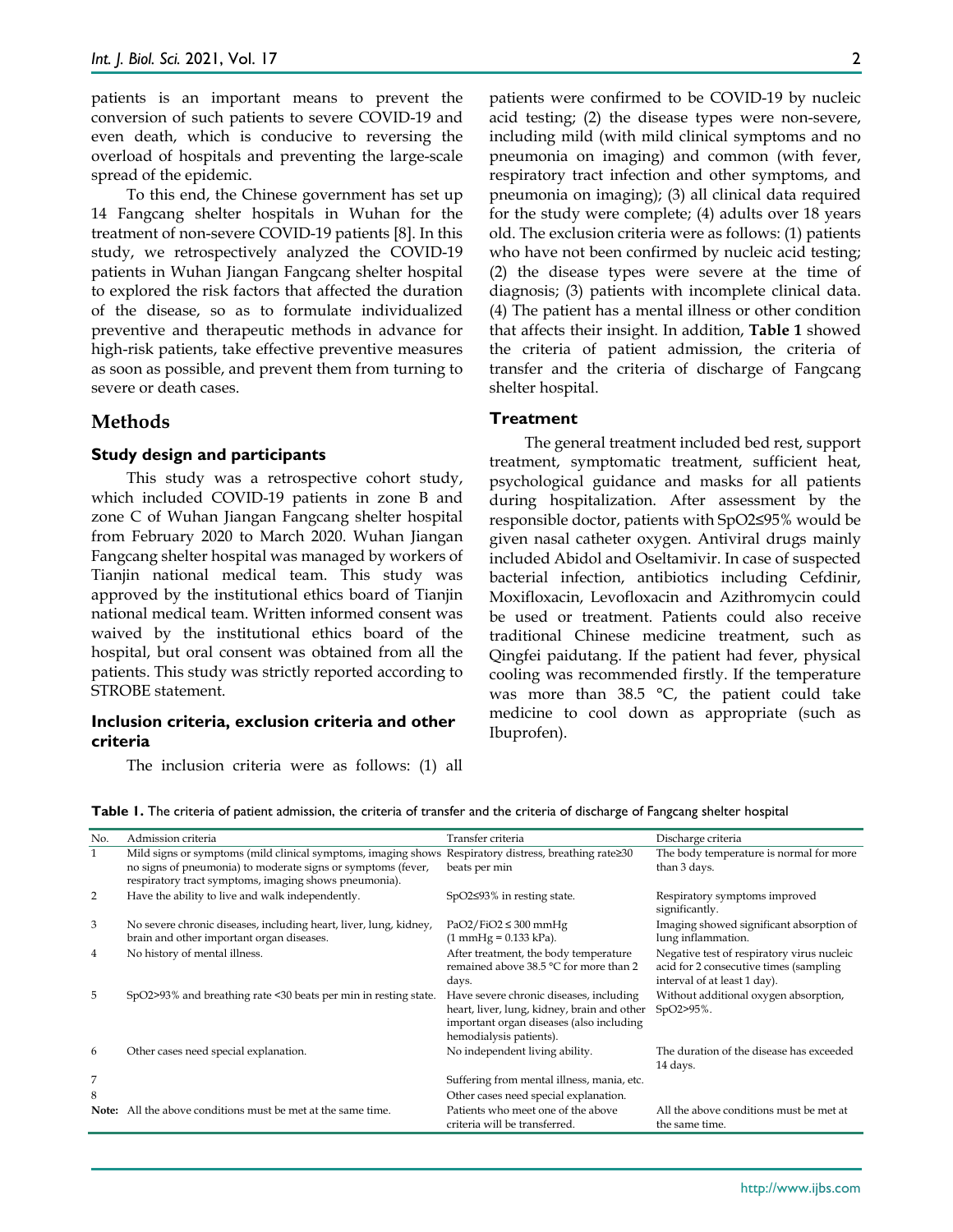patients is an important means to prevent the conversion of such patients to severe COVID-19 and even death, which is conducive to reversing the overload of hospitals and preventing the large-scale spread of the epidemic.

To this end, the Chinese government has set up 14 Fangcang shelter hospitals in Wuhan for the treatment of non-severe COVID-19 patients [8]. In this study, we retrospectively analyzed the COVID-19 patients in Wuhan Jiangan Fangcang shelter hospital to explored the risk factors that affected the duration of the disease, so as to formulate individualized preventive and therapeutic methods in advance for high-risk patients, take effective preventive measures as soon as possible, and prevent them from turning to severe or death cases.

## **Methods**

#### **Study design and participants**

This study was a retrospective cohort study, which included COVID-19 patients in zone B and zone C of Wuhan Jiangan Fangcang shelter hospital from February 2020 to March 2020. Wuhan Jiangan Fangcang shelter hospital was managed by workers of Tianjin national medical team. This study was approved by the institutional ethics board of Tianjin national medical team. Written informed consent was waived by the institutional ethics board of the hospital, but oral consent was obtained from all the patients. This study was strictly reported according to STROBE statement.

#### **Inclusion criteria, exclusion criteria and other criteria**

The inclusion criteria were as follows: (1) all

patients were confirmed to be COVID-19 by nucleic acid testing; (2) the disease types were non-severe, including mild (with mild clinical symptoms and no pneumonia on imaging) and common (with fever, respiratory tract infection and other symptoms, and pneumonia on imaging); (3) all clinical data required for the study were complete; (4) adults over 18 years old. The exclusion criteria were as follows: (1) patients who have not been confirmed by nucleic acid testing; (2) the disease types were severe at the time of diagnosis; (3) patients with incomplete clinical data. (4) The patient has a mental illness or other condition that affects their insight. In addition, **Table 1** showed the criteria of patient admission, the criteria of transfer and the criteria of discharge of Fangcang shelter hospital.

#### **Treatment**

The general treatment included bed rest, support treatment, symptomatic treatment, sufficient heat, psychological guidance and masks for all patients during hospitalization. After assessment by the responsible doctor, patients with SpO2≤95% would be given nasal catheter oxygen. Antiviral drugs mainly included Abidol and Oseltamivir. In case of suspected bacterial infection, antibiotics including Cefdinir, Moxifloxacin, Levofloxacin and Azithromycin could be used or treatment. Patients could also receive traditional Chinese medicine treatment, such as Qingfei paidutang. If the patient had fever, physical cooling was recommended firstly. If the temperature was more than 38.5 °C, the patient could take medicine to cool down as appropriate (such as Ibuprofen).

| No. | Admission criteria                                                                                                                                                                     | Transfer criteria                                                                                                                                             | Discharge criteria                                                                                                   |
|-----|----------------------------------------------------------------------------------------------------------------------------------------------------------------------------------------|---------------------------------------------------------------------------------------------------------------------------------------------------------------|----------------------------------------------------------------------------------------------------------------------|
| 1   | Mild signs or symptoms (mild clinical symptoms, imaging shows<br>no signs of pneumonia) to moderate signs or symptoms (fever,<br>respiratory tract symptoms, imaging shows pneumonia). | Respiratory distress, breathing rate≥30<br>beats per min                                                                                                      | The body temperature is normal for more<br>than 3 days.                                                              |
| 2   | Have the ability to live and walk independently.                                                                                                                                       | SpO2≤93% in resting state.                                                                                                                                    | Respiratory symptoms improved<br>significantly.                                                                      |
| 3   | No severe chronic diseases, including heart, liver, lung, kidney,<br>brain and other important organ diseases.                                                                         | $PaO2/FiO2 \leq 300$ mmHg<br>$(1 \text{ mmHg} = 0.133 \text{ kPa}).$                                                                                          | Imaging showed significant absorption of<br>lung inflammation.                                                       |
| 4   | No history of mental illness.                                                                                                                                                          | After treatment, the body temperature<br>remained above 38.5 °C for more than 2<br>days.                                                                      | Negative test of respiratory virus nucleic<br>acid for 2 consecutive times (sampling<br>interval of at least 1 day). |
| 5   | SpO2>93% and breathing rate <30 beats per min in resting state.                                                                                                                        | Have severe chronic diseases, including<br>heart, liver, lung, kidney, brain and other<br>important organ diseases (also including<br>hemodialysis patients). | Without additional oxygen absorption,<br>SpO2>95%.                                                                   |
| 6   | Other cases need special explanation.                                                                                                                                                  | No independent living ability.                                                                                                                                | The duration of the disease has exceeded<br>14 days.                                                                 |
| 7   |                                                                                                                                                                                        | Suffering from mental illness, mania, etc.                                                                                                                    |                                                                                                                      |
| 8   |                                                                                                                                                                                        | Other cases need special explanation.                                                                                                                         |                                                                                                                      |
|     | <b>Note:</b> All the above conditions must be met at the same time.                                                                                                                    | Patients who meet one of the above<br>criteria will be transferred.                                                                                           | All the above conditions must be met at<br>the same time.                                                            |

**Table 1.** The criteria of patient admission, the criteria of transfer and the criteria of discharge of Fangcang shelter hospital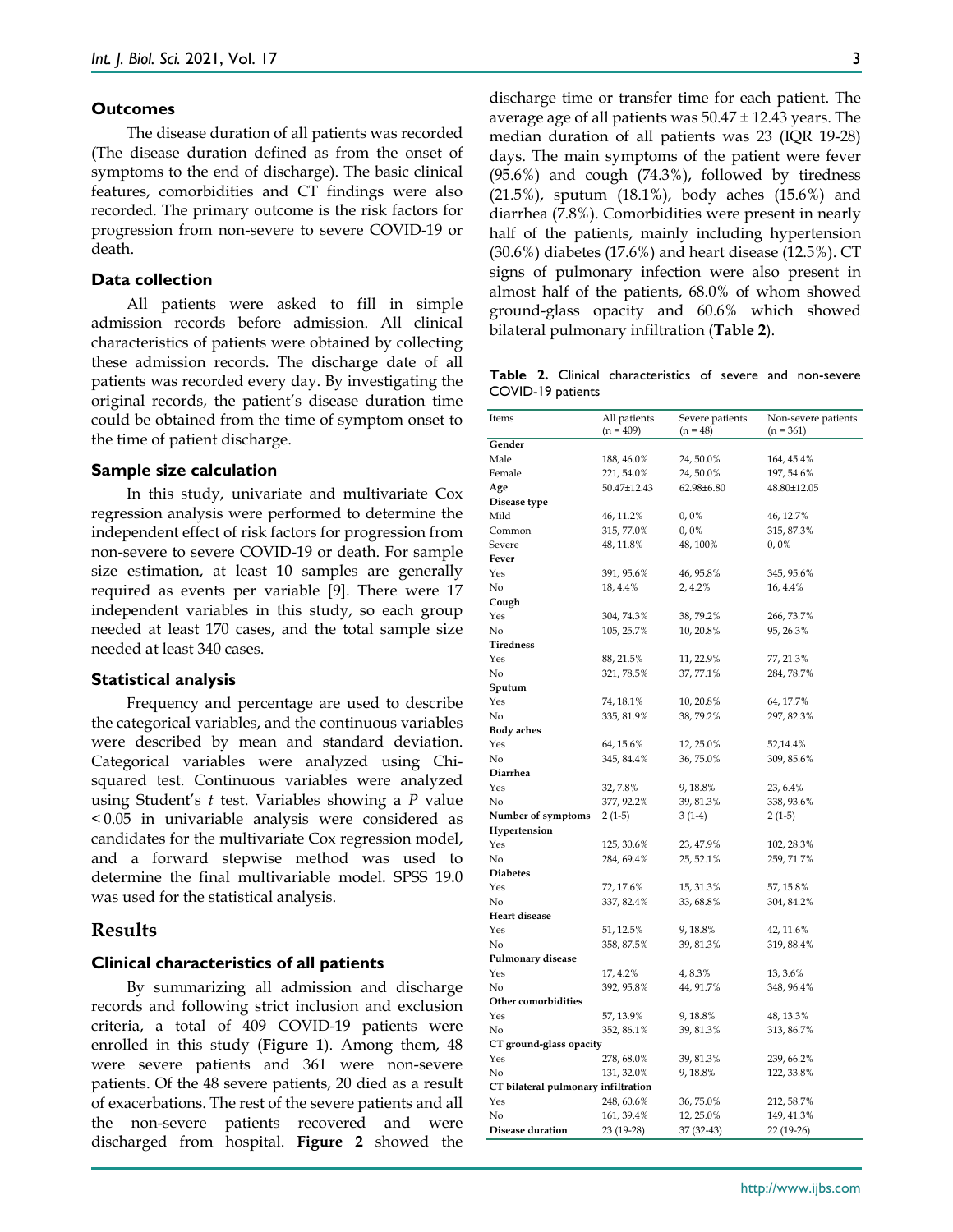#### **Outcomes**

The disease duration of all patients was recorded (The disease duration defined as from the onset of symptoms to the end of discharge). The basic clinical features, comorbidities and CT findings were also recorded. The primary outcome is the risk factors for progression from non-severe to severe COVID-19 or death.

### **Data collection**

All patients were asked to fill in simple admission records before admission. All clinical characteristics of patients were obtained by collecting these admission records. The discharge date of all patients was recorded every day. By investigating the original records, the patient's disease duration time could be obtained from the time of symptom onset to the time of patient discharge.

#### **Sample size calculation**

In this study, univariate and multivariate Cox regression analysis were performed to determine the independent effect of risk factors for progression from non-severe to severe COVID-19 or death. For sample size estimation, at least 10 samples are generally required as events per variable [9]. There were 17 independent variables in this study, so each group needed at least 170 cases, and the total sample size needed at least 340 cases.

#### **Statistical analysis**

Frequency and percentage are used to describe the categorical variables, and the continuous variables were described by mean and standard deviation. Categorical variables were analyzed using Chisquared test. Continuous variables were analyzed using Student's *t* test. Variables showing a *P* value < 0.05 in univariable analysis were considered as candidates for the multivariate Cox regression model, and a forward stepwise method was used to determine the final multivariable model. SPSS 19.0 was used for the statistical analysis.

## **Results**

#### **Clinical characteristics of all patients**

By summarizing all admission and discharge records and following strict inclusion and exclusion criteria, a total of 409 COVID-19 patients were enrolled in this study (**Figure 1**). Among them, 48 were severe patients and 361 were non-severe patients. Of the 48 severe patients, 20 died as a result of exacerbations. The rest of the severe patients and all the non-severe patients recovered and were discharged from hospital. **Figure 2** showed the

discharge time or transfer time for each patient. The average age of all patients was  $50.47 \pm 12.43$  years. The median duration of all patients was 23 (IQR 19-28) days. The main symptoms of the patient were fever (95.6%) and cough (74.3%), followed by tiredness (21.5%), sputum (18.1%), body aches (15.6%) and diarrhea (7.8%). Comorbidities were present in nearly half of the patients, mainly including hypertension (30.6%) diabetes (17.6%) and heart disease (12.5%). CT signs of pulmonary infection were also present in almost half of the patients, 68.0% of whom showed ground-glass opacity and 60.6% which showed bilateral pulmonary infiltration (**Table 2**).

**Table 2.** Clinical characteristics of severe and non-severe COVID-19 patients

| Items                               | All patients | Severe patients | Non-severe patients |  |  |  |  |  |
|-------------------------------------|--------------|-----------------|---------------------|--|--|--|--|--|
|                                     | $(n = 409)$  | $(n = 48)$      | $(n = 361)$         |  |  |  |  |  |
| Gender                              |              |                 |                     |  |  |  |  |  |
| Male                                | 188, 46.0%   | 24, 50.0%       | 164, 45.4%          |  |  |  |  |  |
| Female                              | 221, 54.0%   | 24, 50.0%       | 197, 54.6%          |  |  |  |  |  |
| Age                                 | 50.47±12.43  | 62.98±6.80      | 48.80±12.05         |  |  |  |  |  |
| Disease type                        |              |                 |                     |  |  |  |  |  |
| Mild                                | 46, 11.2%    | 0,0%            | 46, 12.7%           |  |  |  |  |  |
| Common                              | 315, 77.0%   | $0,0\%$         | 315, 87.3%          |  |  |  |  |  |
| Severe                              | 48, 11.8%    | 48, 100%        | $0,0\%$             |  |  |  |  |  |
| Fever                               |              |                 |                     |  |  |  |  |  |
| Yes                                 | 391, 95.6%   | 46, 95.8%       | 345, 95.6%          |  |  |  |  |  |
| No                                  | 18, 4.4%     | 2, 4.2%         | 16, 4.4%            |  |  |  |  |  |
| Cough                               |              |                 |                     |  |  |  |  |  |
| Yes                                 | 304, 74.3%   | 38, 79.2%       | 266, 73.7%          |  |  |  |  |  |
| No                                  | 105, 25.7%   | 10, 20.8%       | 95, 26.3%           |  |  |  |  |  |
| Tiredness                           |              |                 |                     |  |  |  |  |  |
| Yes                                 | 88, 21.5%    | 11, 22.9%       | 77, 21.3%           |  |  |  |  |  |
| No                                  | 321, 78.5%   | 37, 77.1%       | 284, 78.7%          |  |  |  |  |  |
| Sputum                              |              |                 |                     |  |  |  |  |  |
| Yes                                 | 74, 18.1%    | 10, 20.8%       | 64, 17.7%           |  |  |  |  |  |
| No                                  | 335, 81.9%   | 38, 79.2%       | 297, 82.3%          |  |  |  |  |  |
| <b>Body aches</b>                   |              |                 |                     |  |  |  |  |  |
| Yes                                 | 64, 15.6%    | 12, 25.0%       | 52,14.4%            |  |  |  |  |  |
| No                                  | 345, 84.4%   | 36, 75.0%       | 309, 85.6%          |  |  |  |  |  |
| Diarrhea                            |              |                 |                     |  |  |  |  |  |
| Yes                                 | 32, 7.8%     | 9, 18.8%        | 23, 6.4%            |  |  |  |  |  |
| No                                  | 377, 92.2%   | 39, 81.3%       | 338, 93.6%          |  |  |  |  |  |
| Number of symptoms                  | $2(1-5)$     | $3(1-4)$        | $2(1-5)$            |  |  |  |  |  |
| Hypertension                        |              |                 |                     |  |  |  |  |  |
| Yes                                 | 125, 30.6%   | 23, 47.9%       | 102, 28.3%          |  |  |  |  |  |
| No                                  | 284, 69.4%   | 25, 52.1%       | 259, 71.7%          |  |  |  |  |  |
| <b>Diabetes</b>                     |              |                 |                     |  |  |  |  |  |
| Yes                                 | 72, 17.6%    | 15, 31.3%       | 57, 15.8%           |  |  |  |  |  |
| No                                  | 337, 82.4%   | 33, 68.8%       | 304, 84.2%          |  |  |  |  |  |
| <b>Heart disease</b>                |              |                 |                     |  |  |  |  |  |
| Yes                                 | 51, 12.5%    | 9, 18.8%        | 42, 11.6%           |  |  |  |  |  |
| No                                  | 358, 87.5%   | 39, 81.3%       | 319, 88.4%          |  |  |  |  |  |
| Pulmonary disease                   |              |                 |                     |  |  |  |  |  |
| Yes                                 | 17, 4.2%     | 4,8.3%          | 13, 3.6%            |  |  |  |  |  |
| No                                  | 392, 95.8%   | 44, 91.7%       | 348, 96.4%          |  |  |  |  |  |
| Other comorbidities                 |              |                 |                     |  |  |  |  |  |
| Yes                                 |              | 9, 18.8%        |                     |  |  |  |  |  |
| No                                  | 57, 13.9%    |                 | 48, 13.3%           |  |  |  |  |  |
|                                     | 352, 86.1%   | 39, 81.3%       | 313, 86.7%          |  |  |  |  |  |
| CT ground-glass opacity             |              |                 |                     |  |  |  |  |  |
| Yes                                 | 278, 68.0%   | 39, 81.3%       | 239, 66.2%          |  |  |  |  |  |
| No                                  | 131, 32.0%   | 9, 18.8%        | 122, 33.8%          |  |  |  |  |  |
| CT bilateral pulmonary infiltration |              |                 |                     |  |  |  |  |  |
| Yes                                 | 248, 60.6%   | 36, 75.0%       | 212, 58.7%          |  |  |  |  |  |
| No                                  | 161, 39.4%   | 12, 25.0%       | 149, 41.3%          |  |  |  |  |  |
| Disease duration                    | 23 (19-28)   | 37 (32-43)      | 22 (19-26)          |  |  |  |  |  |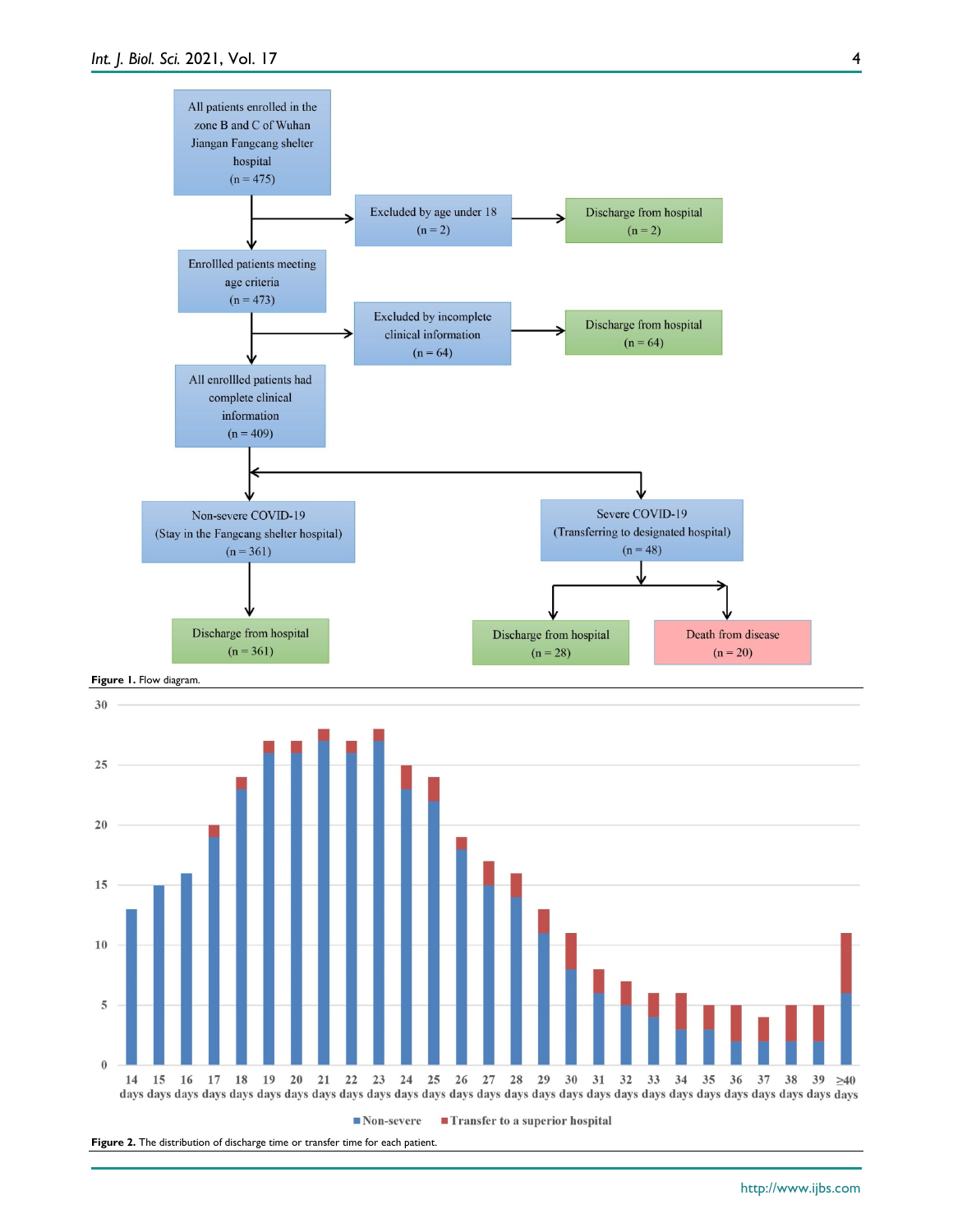

 $\blacksquare$  Non-severe  $\blacksquare$  Transfer to a superior hospital

Figure 2. The distribution of discharge time or transfer time for each patient.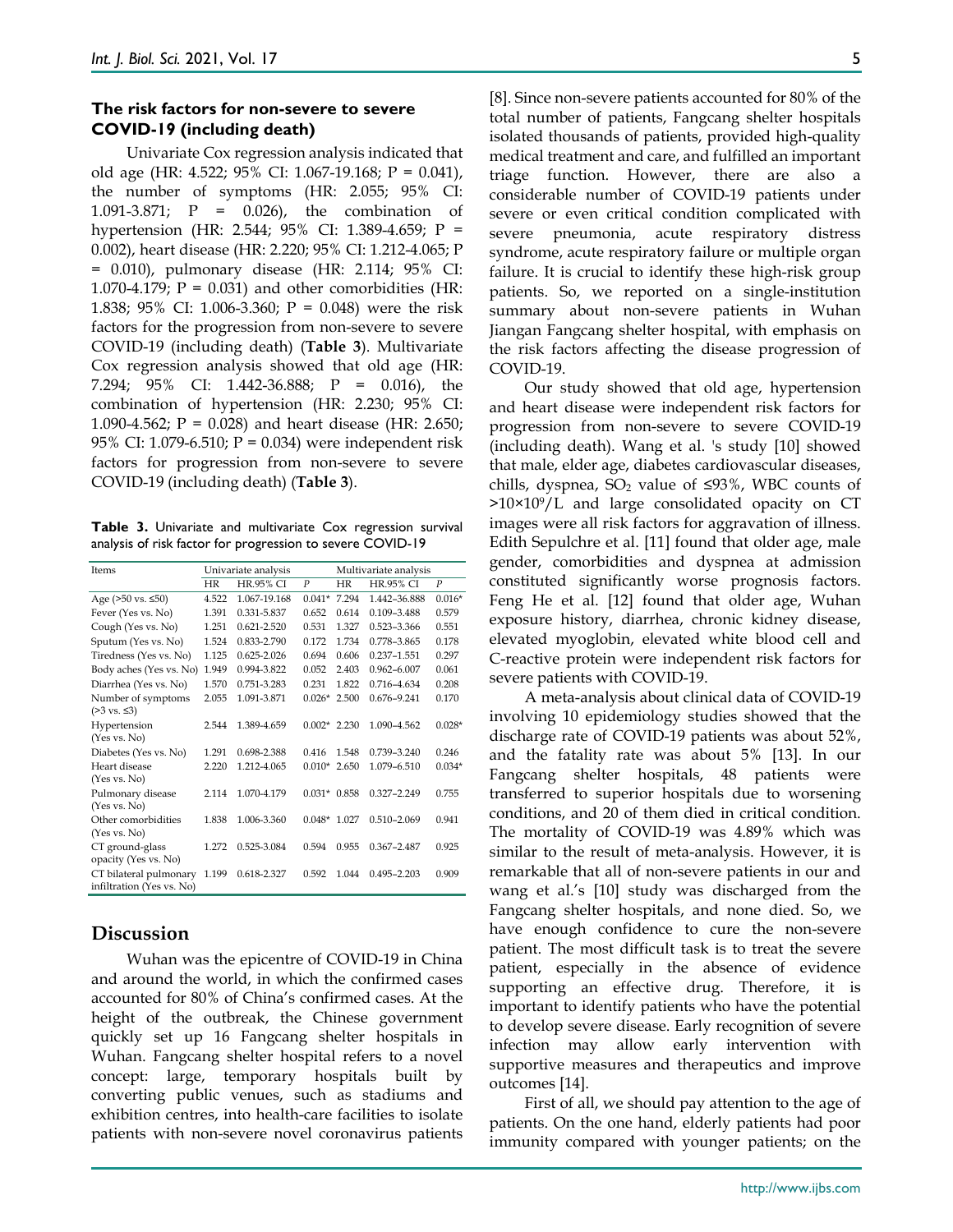## **The risk factors for non-severe to severe COVID-19 (including death)**

Univariate Cox regression analysis indicated that old age (HR: 4.522; 95% CI: 1.067-19.168; P = 0.041), the number of symptoms (HR: 2.055; 95% CI: 1.091-3.871; P = 0.026), the combination of hypertension (HR: 2.544; 95% CI: 1.389-4.659; P = 0.002), heart disease (HR: 2.220; 95% CI: 1.212-4.065; P = 0.010), pulmonary disease (HR: 2.114; 95% CI: 1.070-4.179;  $P = 0.031$ ) and other comorbidities (HR: 1.838; 95% CI: 1.006-3.360; P = 0.048) were the risk factors for the progression from non-severe to severe COVID-19 (including death) (**Table 3**). Multivariate Cox regression analysis showed that old age (HR: 7.294; 95% CI: 1.442-36.888; P = 0.016), the combination of hypertension (HR: 2.230; 95% CI: 1.090-4.562;  $P = 0.028$ ) and heart disease (HR: 2.650; 95% CI: 1.079-6.510; P = 0.034) were independent risk factors for progression from non-severe to severe COVID-19 (including death) (**Table 3**).

**Table 3.** Univariate and multivariate Cox regression survival analysis of risk factor for progression to severe COVID-19

| Items                           | Univariate analysis |                  |               | Multivariate analysis |                  |          |
|---------------------------------|---------------------|------------------|---------------|-----------------------|------------------|----------|
|                                 | HR                  | <b>HR.95% CI</b> | P             | HR                    | <b>HR.95% CI</b> | P        |
| Age $(>50 \text{ vs. } \le 50)$ | 4.522               | 1.067-19.168     | $0.041*$      | 7.294                 | 1.442-36.888     | $0.016*$ |
| Fever (Yes vs. No)              | 1.391               | 0.331-5.837      | 0.652         | 0.614                 | 0.109-3.488      | 0.579    |
| Cough (Yes vs. No)              | 1.251               | 0.621-2.520      | 0.531         | 1.327                 | 0.523-3.366      | 0.551    |
| Sputum (Yes vs. No)             | 1.524               | 0.833-2.790      | 0.172         | 1.734                 | 0.778-3.865      | 0.178    |
| Tiredness (Yes vs. No)          | 1.125               | $0.625 - 2.026$  | 0.694         | 0.606                 | 0.237-1.551      | 0.297    |
| Body aches (Yes vs. No)         | 1.949               | 0.994-3.822      | 0.052         | 2.403                 | $0.962 - 6.007$  | 0.061    |
| Diarrhea (Yes vs. No)           | 1.570               | 0.751-3.283      | 0.231         | 1.822                 | 0.716-4.634      | 0.208    |
| Number of symptoms              | 2.055               | 1.091-3.871      | $0.026*$      | 2.500                 | 0.676-9.241      | 0.170    |
| $(≥3 \text{ vs. } ≤3)$          |                     |                  |               |                       |                  |          |
| Hypertension                    | 2.544               | 1.389-4.659      | $0.002*$      | 2.230                 | 1.090-4.562      | $0.028*$ |
| (Yes vs. No)                    |                     |                  |               |                       |                  |          |
| Diabetes (Yes vs. No)           | 1.291               | 0.698-2.388      | 0.416         | 1.548                 | $0.739 - 3.240$  | 0.246    |
| Heart disease                   | 2.220               | 1.212-4.065      | $0.010*$      | 2.650                 | 1.079-6.510      | $0.034*$ |
| (Yes vs. No)                    |                     |                  |               |                       |                  |          |
| Pulmonary disease               | 2.114               | 1.070-4.179      | $0.031*0.858$ |                       | 0.327-2.249      | 0.755    |
| (Yes vs. No)                    |                     |                  |               |                       |                  |          |
| Other comorbidities             | 1.838               | 1.006-3.360      | $0.048*$      | 1.027                 | $0.510 - 2.069$  | 0.941    |
| (Yes vs. No)                    |                     |                  |               |                       |                  |          |
| CT ground-glass                 | 1.272               | 0.525-3.084      | 0.594         | 0.955                 | $0.367 - 2.487$  | 0.925    |
| opacity (Yes vs. No)            |                     |                  |               |                       |                  |          |
| CT bilateral pulmonary          | 1.199               | 0.618-2.327      | 0.592         | 1.044                 | $0.495 - 2.203$  | 0.909    |
| infiltration (Yes vs. No)       |                     |                  |               |                       |                  |          |

# **Discussion**

Wuhan was the epicentre of COVID-19 in China and around the world, in which the confirmed cases accounted for 80% of China's confirmed cases. At the height of the outbreak, the Chinese government quickly set up 16 Fangcang shelter hospitals in Wuhan. Fangcang shelter hospital refers to a novel concept: large, temporary hospitals built by converting public venues, such as stadiums and exhibition centres, into health-care facilities to isolate patients with non-severe novel coronavirus patients

[8]. Since non-severe patients accounted for 80% of the total number of patients, Fangcang shelter hospitals isolated thousands of patients, provided high-quality medical treatment and care, and fulfilled an important triage function. However, there are also a considerable number of COVID-19 patients under severe or even critical condition complicated with severe pneumonia, acute respiratory distress syndrome, acute respiratory failure or multiple organ failure. It is crucial to identify these high-risk group patients. So, we reported on a single-institution summary about non-severe patients in Wuhan Jiangan Fangcang shelter hospital, with emphasis on the risk factors affecting the disease progression of COVID-19.

Our study showed that old age, hypertension and heart disease were independent risk factors for progression from non-severe to severe COVID-19 (including death). Wang et al. 's study [10] showed that male, elder age, diabetes cardiovascular diseases, chills, dyspnea, SO<sub>2</sub> value of ≤93%, WBC counts of  $>10\times10^{9}/L$  and large consolidated opacity on CT images were all risk factors for aggravation of illness. Edith Sepulchre et al. [11] found that older age, male gender, comorbidities and dyspnea at admission constituted significantly worse prognosis factors. Feng He et al. [12] found that older age, Wuhan exposure history, diarrhea, chronic kidney disease, elevated myoglobin, elevated white blood cell and C-reactive protein were independent risk factors for severe patients with COVID-19.

A meta-analysis about clinical data of COVID-19 involving 10 epidemiology studies showed that the discharge rate of COVID-19 patients was about 52%, and the fatality rate was about 5% [13]. In our Fangcang shelter hospitals, 48 patients were transferred to superior hospitals due to worsening conditions, and 20 of them died in critical condition. The mortality of COVID-19 was 4.89% which was similar to the result of meta-analysis. However, it is remarkable that all of non-severe patients in our and wang et al.'s [10] study was discharged from the Fangcang shelter hospitals, and none died. So, we have enough confidence to cure the non-severe patient. The most difficult task is to treat the severe patient, especially in the absence of evidence supporting an effective drug. Therefore, it is important to identify patients who have the potential to develop severe disease. Early recognition of severe infection may allow early intervention with supportive measures and therapeutics and improve outcomes [14].

First of all, we should pay attention to the age of patients. On the one hand, elderly patients had poor immunity compared with younger patients; on the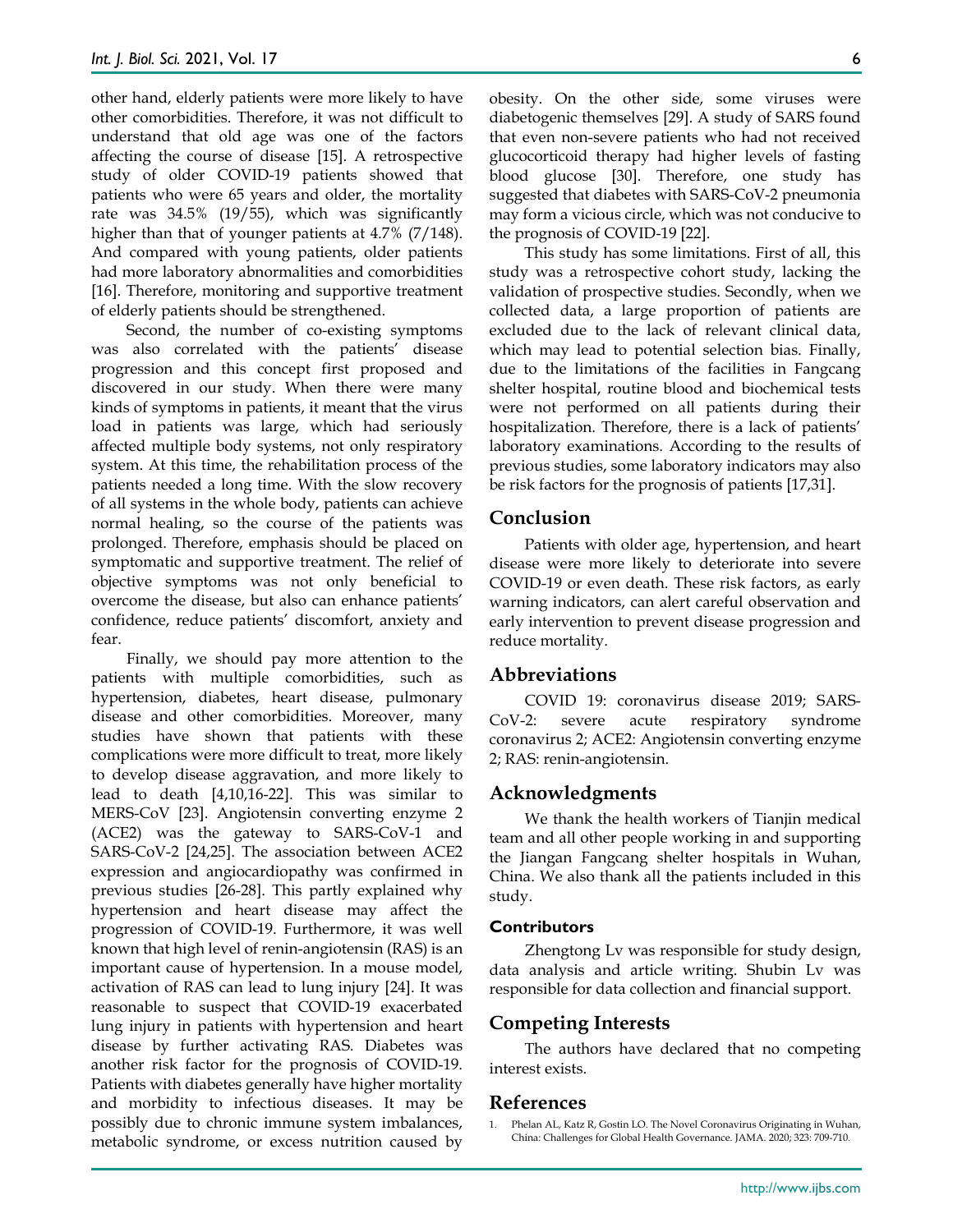other hand, elderly patients were more likely to have other comorbidities. Therefore, it was not difficult to understand that old age was one of the factors affecting the course of disease [15]. A retrospective study of older COVID-19 patients showed that patients who were 65 years and older, the mortality rate was 34.5% (19/55), which was significantly higher than that of younger patients at 4.7% (7/148). And compared with young patients, older patients had more laboratory abnormalities and comorbidities [16]. Therefore, monitoring and supportive treatment of elderly patients should be strengthened.

Second, the number of co-existing symptoms was also correlated with the patients' disease progression and this concept first proposed and discovered in our study. When there were many kinds of symptoms in patients, it meant that the virus load in patients was large, which had seriously affected multiple body systems, not only respiratory system. At this time, the rehabilitation process of the patients needed a long time. With the slow recovery of all systems in the whole body, patients can achieve normal healing, so the course of the patients was prolonged. Therefore, emphasis should be placed on symptomatic and supportive treatment. The relief of objective symptoms was not only beneficial to overcome the disease, but also can enhance patients' confidence, reduce patients' discomfort, anxiety and fear.

Finally, we should pay more attention to the patients with multiple comorbidities, such as hypertension, diabetes, heart disease, pulmonary disease and other comorbidities. Moreover, many studies have shown that patients with these complications were more difficult to treat, more likely to develop disease aggravation, and more likely to lead to death [4,10,16-22]. This was similar to MERS-CoV [23]. Angiotensin converting enzyme 2 (ACE2) was the gateway to SARS-CoV-1 and SARS-CoV-2 [24,25]. The association between ACE2 expression and angiocardiopathy was confirmed in previous studies [26-28]. This partly explained why hypertension and heart disease may affect the progression of COVID-19. Furthermore, it was well known that high level of renin-angiotensin (RAS) is an important cause of hypertension. In a mouse model, activation of RAS can lead to lung injury [24]. It was reasonable to suspect that COVID-19 exacerbated lung injury in patients with hypertension and heart disease by further activating RAS. Diabetes was another risk factor for the prognosis of COVID‐19. Patients with diabetes generally have higher mortality and morbidity to infectious diseases. It may be possibly due to chronic immune system imbalances, metabolic syndrome, or excess nutrition caused by

obesity. On the other side, some viruses were diabetogenic themselves [29]. A study of SARS found that even non-severe patients who had not received glucocorticoid therapy had higher levels of fasting blood glucose [30]. Therefore, one study has suggested that diabetes with SARS-CoV-2 pneumonia may form a vicious circle, which was not conducive to the prognosis of COVID-19 [22].

This study has some limitations. First of all, this study was a retrospective cohort study, lacking the validation of prospective studies. Secondly, when we collected data, a large proportion of patients are excluded due to the lack of relevant clinical data, which may lead to potential selection bias. Finally, due to the limitations of the facilities in Fangcang shelter hospital, routine blood and biochemical tests were not performed on all patients during their hospitalization. Therefore, there is a lack of patients' laboratory examinations. According to the results of previous studies, some laboratory indicators may also be risk factors for the prognosis of patients [17,31].

## **Conclusion**

Patients with older age, hypertension, and heart disease were more likely to deteriorate into severe COVID-19 or even death. These risk factors, as early warning indicators, can alert careful observation and early intervention to prevent disease progression and reduce mortality.

## **Abbreviations**

COVID 19: coronavirus disease 2019; SARS-CoV-2: severe acute respiratory syndrome coronavirus 2; ACE2: Angiotensin converting enzyme 2; RAS: renin-angiotensin.

## **Acknowledgments**

We thank the health workers of Tianjin medical team and all other people working in and supporting the Jiangan Fangcang shelter hospitals in Wuhan, China. We also thank all the patients included in this study.

#### **Contributors**

Zhengtong Lv was responsible for study design, data analysis and article writing. Shubin Lv was responsible for data collection and financial support.

## **Competing Interests**

The authors have declared that no competing interest exists.

## **References**

<sup>1.</sup> Phelan AL, Katz R, Gostin LO. The Novel Coronavirus Originating in Wuhan, China: Challenges for Global Health Governance. JAMA. 2020; 323: 709-710.